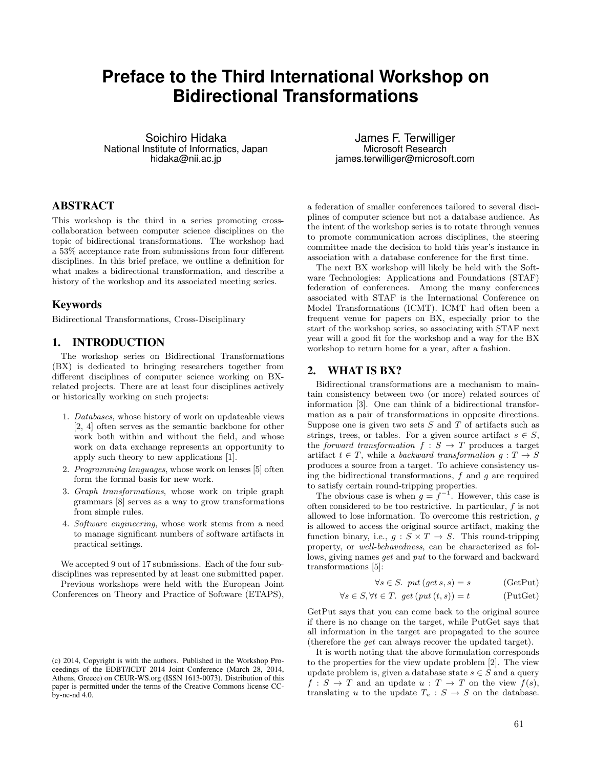# **Preface to the Third International Workshop on Bidirectional Transformations**

Soichiro Hidaka National Institute of Informatics, Japan hidaka@nii.ac.jp

# ABSTRACT

This workshop is the third in a series promoting crosscollaboration between computer science disciplines on the topic of bidirectional transformations. The workshop had a  $53\%$  acceptance rate from submissions from four different disciplines. In this brief preface, we outline a definition for what makes a bidirectional transformation, and describe a history of the workshop and its associated meeting series.

## Keywords

Bidirectional Transformations, Cross-Disciplinary

#### 1. INTRODUCTION

The workshop series on Bidirectional Transformations (BX) is dedicated to bringing researchers together from different disciplines of computer science working on BXrelated projects. There are at least four disciplines actively or historically working on such projects:

- 1. *Databases*, whose history of work on updateable views [2, 4] often serves as the semantic backbone for other work both within and without the field, and whose work on data exchange represents an opportunity to apply such theory to new applications [1].
- 2. *Programming languages*, whose work on lenses [5] often form the formal basis for new work.
- 3. *Graph transformations*, whose work on triple graph grammars [8] serves as a way to grow transformations from simple rules.
- 4. *Software engineering*, whose work stems from a need to manage significant numbers of software artifacts in practical settings.

We accepted 9 out of 17 submissions. Each of the four subdisciplines was represented by at least one submitted paper.

Previous workshops were held with the European Joint Conferences on Theory and Practice of Software (ETAPS),

James F. Terwilliger Microsoft Research james.terwilliger@microsoft.com

a federation of smaller conferences tailored to several disciplines of computer science but not a database audience. As the intent of the workshop series is to rotate through venues to promote communication across disciplines, the steering committee made the decision to hold this year's instance in association with a database conference for the first time.

The next BX workshop will likely be held with the Software Technologies: Applications and Foundations (STAF) federation of conferences. Among the many conferences associated with STAF is the International Conference on Model Transformations (ICMT). ICMT had often been a frequent venue for papers on BX, especially prior to the start of the workshop series, so associating with STAF next year will a good fit for the workshop and a way for the BX workshop to return home for a year, after a fashion.

#### 2. WHAT IS BX?

Bidirectional transformations are a mechanism to maintain consistency between two (or more) related sources of information [3]. One can think of a bidirectional transformation as a pair of transformations in opposite directions. Suppose one is given two sets *S* and *T* of artifacts such as strings, trees, or tables. For a given source artifact  $s \in S$ , the *forward transformation*  $f : S \rightarrow T$  produces a target artifact  $t \in T$ , while a *backward transformation*  $q: T \to S$ produces a source from a target. To achieve consistency using the bidirectional transformations, *f* and *g* are required to satisfy certain round-tripping properties.

The obvious case is when  $g = f^{-1}$ . However, this case is often considered to be too restrictive. In particular, *f* is not allowed to lose information. To overcome this restriction, *g* is allowed to access the original source artifact, making the function binary, i.e.,  $g : S \times T \to S$ . This round-tripping property, or *well-behavedness*, can be characterized as follows, giving names *get* and *put* to the forward and backward transformations [5]:

$$
\forall s \in S. \; put \, (get \, s, s) = s \qquad \qquad (\text{GetPut})
$$

$$
\forall s \in S, \forall t \in T. \ get \ (put \ (t, s)) = t \tag{PutGet}
$$

GetPut says that you can come back to the original source if there is no change on the target, while PutGet says that all information in the target are propagated to the source (therefore the *get* can always recover the updated target).

It is worth noting that the above formulation corresponds to the properties for the view update problem [2]. The view update problem is, given a database state  $s \in S$  and a query  $f: S \to T$  and an update  $u: T \to T$  on the view  $f(s)$ , translating *u* to the update  $T_u : S \to S$  on the database.

<sup>(</sup>c) 2014, Copyright is with the authors. Published in the Workshop Proceedings of the EDBT/ICDT 2014 Joint Conference (March 28, 2014, Athens, Greece) on CEUR-WS.org (ISSN 1613-0073). Distribution of this paper is permitted under the terms of the Creative Commons license CCby-nc-nd 4.0.